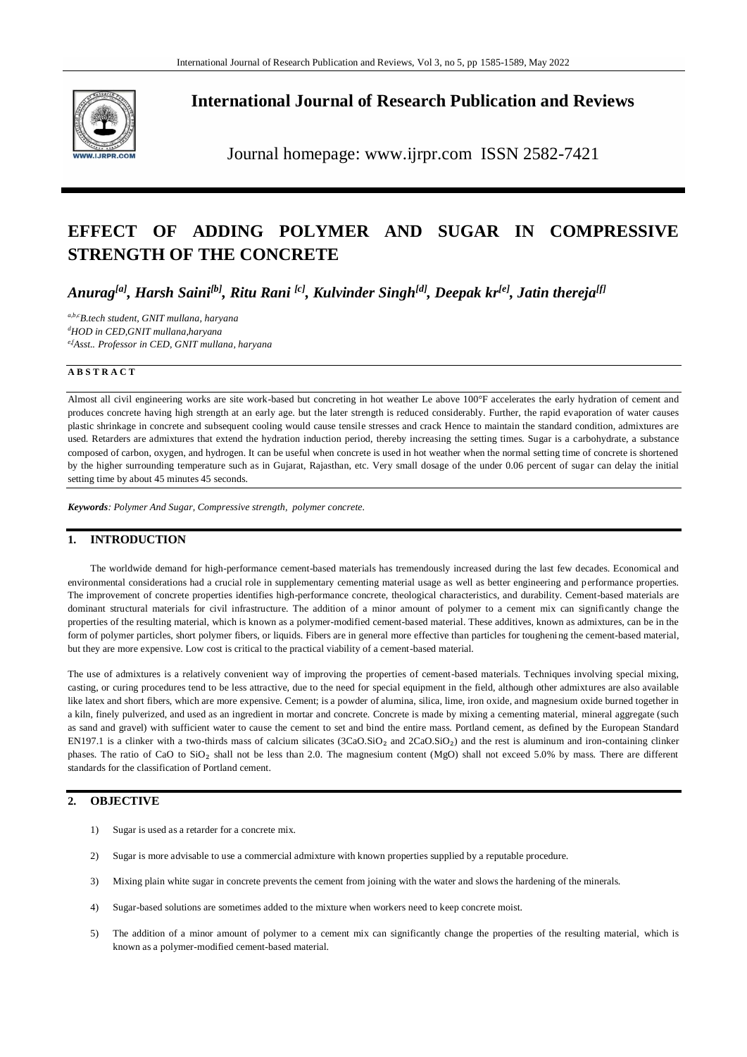

# **International Journal of Research Publication and Reviews**

Journal homepage: www.ijrpr.com ISSN 2582-7421

# **EFFECT OF ADDING POLYMER AND SUGAR IN COMPRESSIVE STRENGTH OF THE CONCRETE**

*Anurag[a] , Harsh Saini[b] , Ritu Rani [c] , Kulvinder Singh[d] , Deepak kr[e] , Jatin thereja[f]*

*a,b,cB.tech student, GNIT mullana, haryana <sup>d</sup>HOD in CED,GNIT mullana,haryana e,fAsst.. Professor in CED, GNIT mullana, haryana* 

#### **A B S T R A C T**

Almost all civil engineering works are site work-based but concreting in hot weather Le above 100°F accelerates the early hydration of cement and produces concrete having high strength at an early age. but the later strength is reduced considerably. Further, the rapid evaporation of water causes plastic shrinkage in concrete and subsequent cooling would cause tensile stresses and crack Hence to maintain the standard condition, admixtures are used. Retarders are admixtures that extend the hydration induction period, thereby increasing the setting times. Sugar is a carbohydrate, a substance composed of carbon, oxygen, and hydrogen. It can be useful when concrete is used in hot weather when the normal setting time of concrete is shortened by the higher surrounding temperature such as in Gujarat, Rajasthan, etc. Very small dosage of the under 0.06 percent of sugar can delay the initial setting time by about 45 minutes 45 seconds.

*Keywords: Polymer And Sugar, Compressive strength, polymer concrete.*

### **1. INTRODUCTION**

The worldwide demand for high-performance cement-based materials has tremendously increased during the last few decades. Economical and environmental considerations had a crucial role in supplementary cementing material usage as well as better engineering and performance properties. The improvement of concrete properties identifies high-performance concrete, theological characteristics, and durability. Cement-based materials are dominant structural materials for civil infrastructure. The addition of a minor amount of polymer to a cement mix can significantly change the properties of the resulting material, which is known as a polymer-modified cement-based material. These additives, known as admixtures, can be in the form of polymer particles, short polymer fibers, or liquids. Fibers are in general more effective than particles for toughening the cement-based material, but they are more expensive. Low cost is critical to the practical viability of a cement-based material.

The use of admixtures is a relatively convenient way of improving the properties of cement-based materials. Techniques involving special mixing, casting, or curing procedures tend to be less attractive, due to the need for special equipment in the field, although other admixtures are also available like latex and short fibers, which are more expensive. Cement; is a powder of alumina, silica, lime, iron oxide, and magnesium oxide burned together in a kiln, finely pulverized, and used as an ingredient in mortar and concrete. Concrete is made by mixing a cementing material, mineral aggregate (such as sand and gravel) with sufficient water to cause the cement to set and bind the entire mass. Portland cement, as defined by the European Standard EN197.1 is a clinker with a two-thirds mass of calcium silicates (3CaO.SiO<sub>2</sub> and 2CaO.SiO<sub>2</sub>) and the rest is aluminum and iron-containing clinker phases. The ratio of CaO to SiO<sub>2</sub> shall not be less than 2.0. The magnesium content (MgO) shall not exceed 5.0% by mass. There are different standards for the classification of Portland cement.

### **2. OBJECTIVE**

- 1) Sugar is used as a retarder for a concrete mix.
- 2) Sugar is more advisable to use a commercial admixture with known properties supplied by a reputable procedure.
- 3) Mixing plain white sugar in concrete prevents the cement from joining with the water and slows the hardening of the minerals.
- 4) Sugar-based solutions are sometimes added to the mixture when workers need to keep concrete moist.
- 5) The addition of a minor amount of polymer to a cement mix can significantly change the properties of the resulting material, which is known as a polymer-modified cement-based material.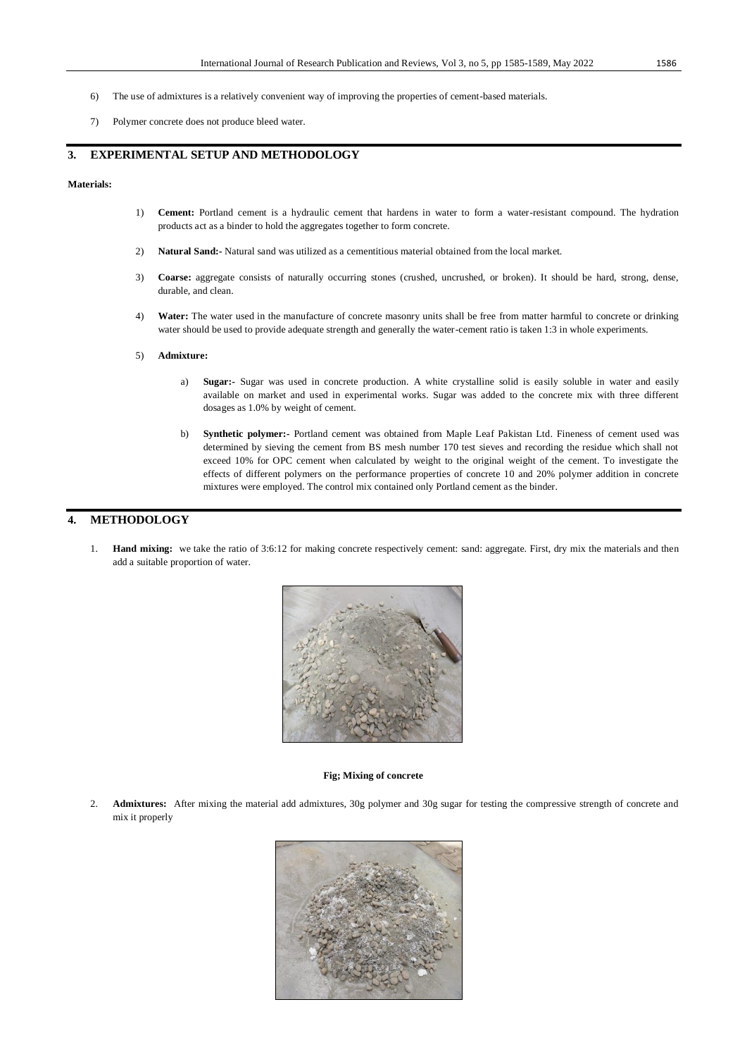- 6) The use of admixtures is a relatively convenient way of improving the properties of cement-based materials.
- 7) Polymer concrete does not produce bleed water.

### **3. EXPERIMENTAL SETUP AND METHODOLOGY**

### **Materials:**

- 1) **Cement:** Portland cement is a hydraulic cement that hardens in water to form a water-resistant compound. The hydration products act as a binder to hold the aggregates together to form concrete.
- 2) **Natural Sand:-** Natural sand was utilized as a cementitious material obtained from the local market.
- 3) **Coarse:** aggregate consists of naturally occurring stones (crushed, uncrushed, or broken). It should be hard, strong, dense, durable, and clean.
- 4) **Water:** The water used in the manufacture of concrete masonry units shall be free from matter harmful to concrete or drinking water should be used to provide adequate strength and generally the water-cement ratio is taken 1:3 in whole experiments.
- 5) **Admixture:**
	- a) **Sugar:-** Sugar was used in concrete production. A white crystalline solid is easily soluble in water and easily available on market and used in experimental works. Sugar was added to the concrete mix with three different dosages as 1.0% by weight of cement.
	- b) **Synthetic polymer:-** Portland cement was obtained from Maple Leaf Pakistan Ltd. Fineness of cement used was determined by sieving the cement from BS mesh number 170 test sieves and recording the residue which shall not exceed 10% for OPC cement when calculated by weight to the original weight of the cement. To investigate the effects of different polymers on the performance properties of concrete 10 and 20% polymer addition in concrete mixtures were employed. The control mix contained only Portland cement as the binder.

### **4. METHODOLOGY**

1. **Hand mixing:** we take the ratio of 3:6:12 for making concrete respectively cement: sand: aggregate. First, dry mix the materials and then add a suitable proportion of water.



#### **Fig; Mixing of concrete**

2. **Admixtures:** After mixing the material add admixtures, 30g polymer and 30g sugar for testing the compressive strength of concrete and mix it properly

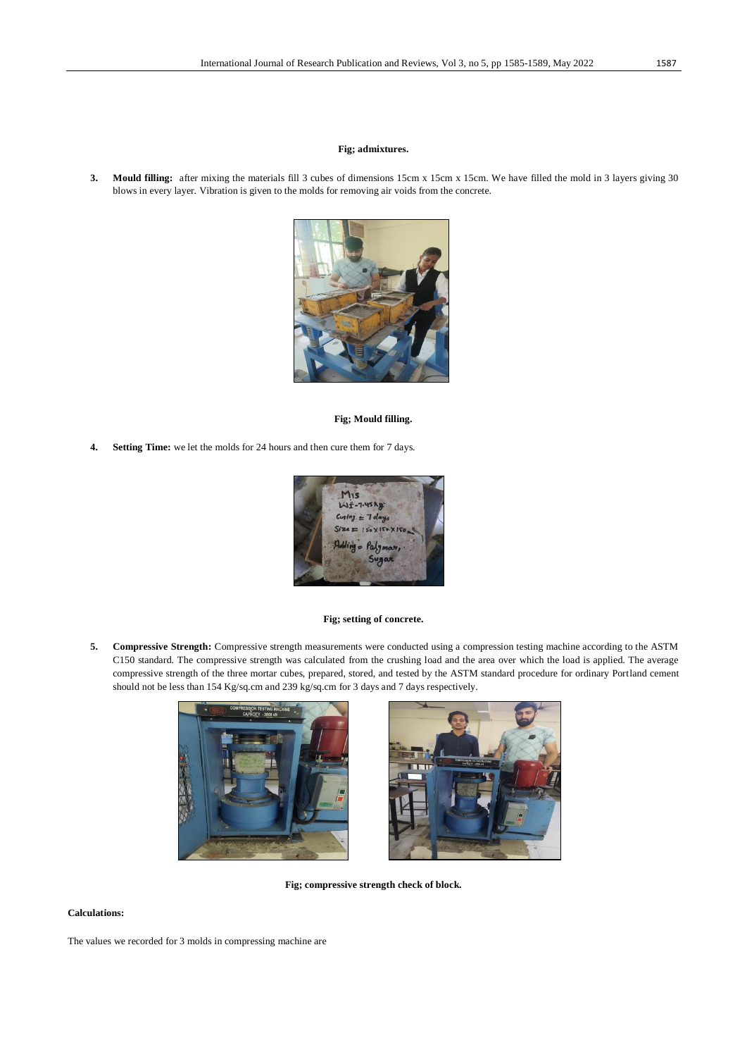#### **Fig; admixtures.**

**3. Mould filling:** after mixing the materials fill 3 cubes of dimensions 15cm x 15cm x 15cm. We have filled the mold in 3 layers giving 30 blows in every layer. Vibration is given to the molds for removing air voids from the concrete.



#### **Fig; Mould filling.**

**4. Setting Time:** we let the molds for 24 hours and then cure them for 7 days.



#### **Fig; setting of concrete.**

**5. Compressive Strength:** Compressive strength measurements were conducted using a compression testing machine according to the ASTM C150 standard. The compressive strength was calculated from the crushing load and the area over which the load is applied. The average compressive strength of the three mortar cubes, prepared, stored, and tested by the ASTM standard procedure for ordinary Portland cement should not be less than 154 Kg/sq.cm and 239 kg/sq.cm for 3 days and 7 days respectively.





**Fig; compressive strength check of block.**

### **Calculations:**

The values we recorded for 3 molds in compressing machine are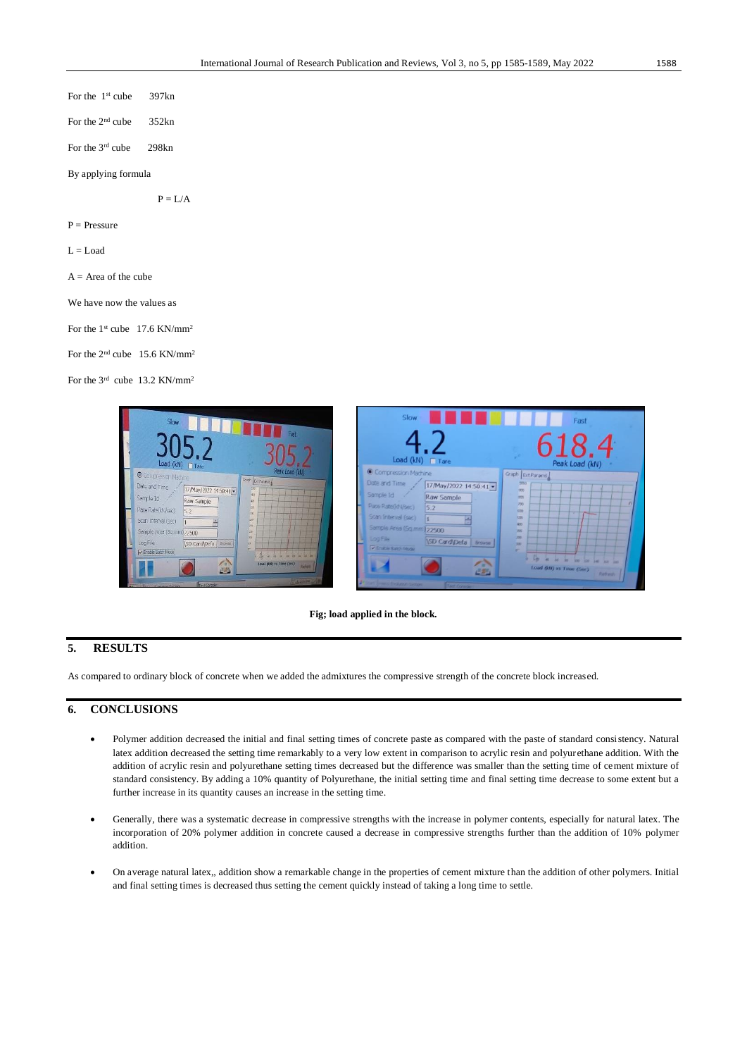| For the $1st$ cube 397kn  |           |
|---------------------------|-----------|
| For the $2nd$ cube 352kn  |           |
| For the $3rd$ cube 298kn  |           |
| By applying formula       |           |
|                           | $P = I/A$ |
| $P =$ Pressure            |           |
| $L =$ Load                |           |
| $A = Area of the cube$    |           |
| We have now the values as |           |
|                           |           |

For the  $1<sup>st</sup>$  cube 17.6 KN/mm<sup>2</sup>

For the 2nd cube 15.6 KN/mm<sup>2</sup>

For the 3<sup>rd</sup> cube 13.2 KN/mm<sup>2</sup>



#### **Fig; load applied in the block.**

### **5. RESULTS**

As compared to ordinary block of concrete when we added the admixtures the compressive strength of the concrete block increased.

## **6. CONCLUSIONS**

- Polymer addition decreased the initial and final setting times of concrete paste as compared with the paste of standard consistency. Natural latex addition decreased the setting time remarkably to a very low extent in comparison to acrylic resin and polyurethane addition. With the addition of acrylic resin and polyurethane setting times decreased but the difference was smaller than the setting time of cement mixture of standard consistency. By adding a 10% quantity of Polyurethane, the initial setting time and final setting time decrease to some extent but a further increase in its quantity causes an increase in the setting time.
- Generally, there was a systematic decrease in compressive strengths with the increase in polymer contents, especially for natural latex. The incorporation of 20% polymer addition in concrete caused a decrease in compressive strengths further than the addition of 10% polymer addition.
- On average natural latex,, addition show a remarkable change in the properties of cement mixture than the addition of other polymers. Initial and final setting times is decreased thus setting the cement quickly instead of taking a long time to settle.